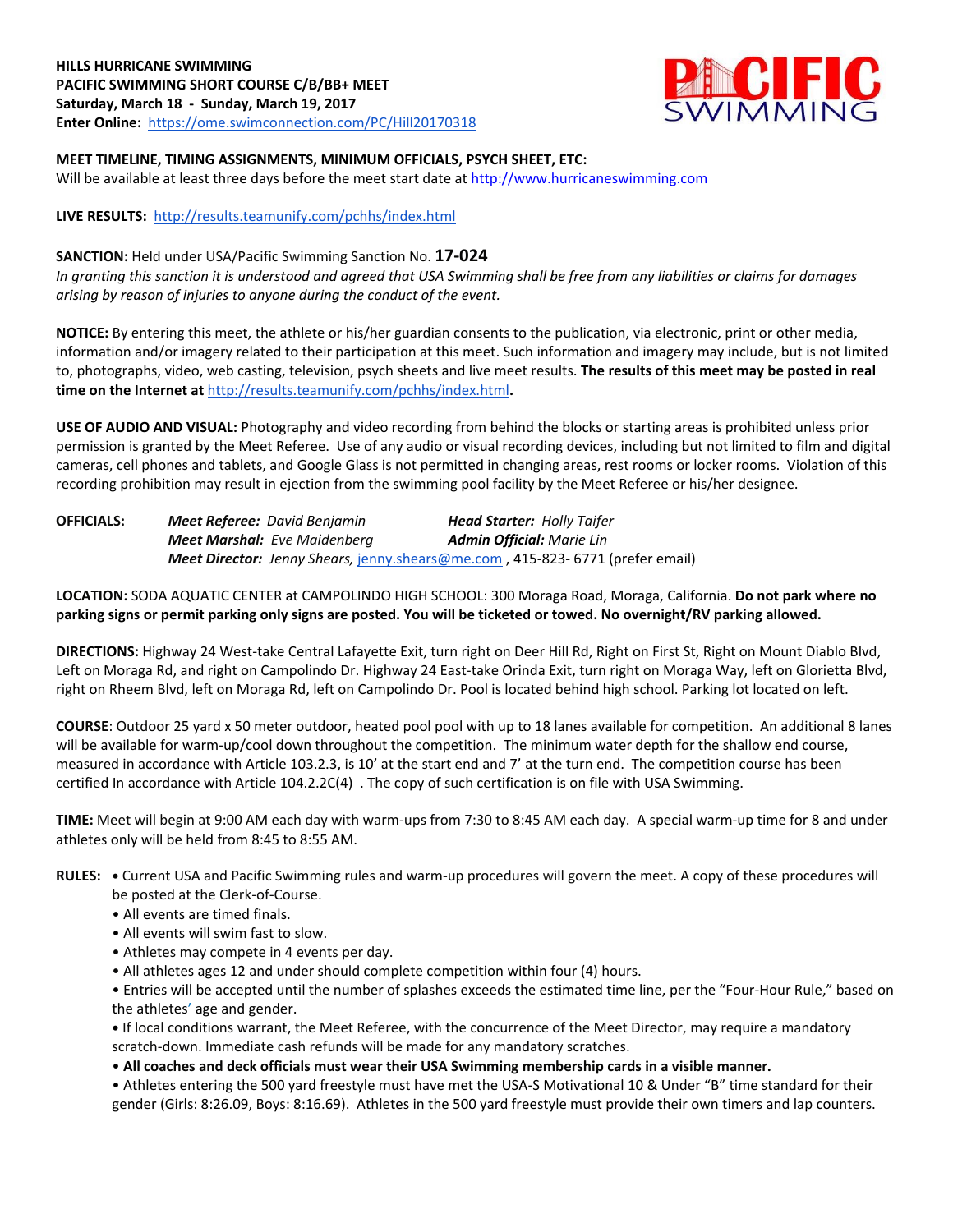# **HILLS HURRICANE SWIMMING PACIFIC SWIMMING SHORT COURSE C/B/BB+ MEET Saturday, March 18 - Sunday, March 19, 2017 Enter Online:**<https://ome.swimconnection.com/PC/Hill20170318>



# **MEET TIMELINE, TIMING ASSIGNMENTS, MINIMUM OFFICIALS, PSYCH SHEET, ETC:** Will be available at least three days before the meet start date a[t http://www.hurricaneswimming.com](http://www.myswimming.info/rocktoberfest2016)

**LIVE RESULTS:** <http://results.teamunify.com/pchhs/index.html>

## **SANCTION:** Held under USA/Pacific Swimming Sanction No. **17-024**

*In granting this sanction it is understood and agreed that USA Swimming shall be free from any liabilities or claims for damages arising by reason of injuries to anyone during the conduct of the event.*

**NOTICE:** By entering this meet, the athlete or his/her guardian consents to the publication, via electronic, print or other media, information and/or imagery related to their participation at this meet. Such information and imagery may include, but is not limited to, photographs, video, web casting, television, psych sheets and live meet results. **The results of this meet may be posted in real time on the Internet at** <http://results.teamunify.com/pchhs/index.html>**.** 

**USE OF AUDIO AND VISUAL:** Photography and video recording from behind the blocks or starting areas is prohibited unless prior permission is granted by the Meet Referee. Use of any audio or visual recording devices, including but not limited to film and digital cameras, cell phones and tablets, and Google Glass is not permitted in changing areas, rest rooms or locker rooms. Violation of this recording prohibition may result in ejection from the swimming pool facility by the Meet Referee or his/her designee.

| <b>OFFICIALS:</b> | <b>Meet Referee: David Benjamin</b> | <b>Head Starter: Holly Taifer</b>                                              |  |  |  |  |  |
|-------------------|-------------------------------------|--------------------------------------------------------------------------------|--|--|--|--|--|
|                   | <b>Meet Marshal:</b> Eve Maidenberg | <b>Admin Official:</b> Marie Lin                                               |  |  |  |  |  |
|                   |                                     | Meet Director: Jenny Shears, jenny.shears@me.com, 415-823- 6771 (prefer email) |  |  |  |  |  |

**LOCATION:** SODA AQUATIC CENTER at CAMPOLINDO HIGH SCHOOL: 300 Moraga Road, Moraga, California. **Do not park where no parking signs or permit parking only signs are posted. You will be ticketed or towed. No overnight/RV parking allowed.**

**DIRECTIONS:** Highway 24 West-take Central Lafayette Exit, turn right on Deer Hill Rd, Right on First St, Right on Mount Diablo Blvd, Left on Moraga Rd, and right on Campolindo Dr. Highway 24 East-take Orinda Exit, turn right on Moraga Way, left on Glorietta Blvd, right on Rheem Blvd, left on Moraga Rd, left on Campolindo Dr. Pool is located behind high school. Parking lot located on left.

**COURSE**: Outdoor 25 yard x 50 meter outdoor, heated pool pool with up to 18 lanes available for competition.An additional 8 lanes will be available for warm-up/cool down throughout the competition. The minimum water depth for the shallow end course, measured in accordance with Article 103.2.3, is 10' at the start end and 7' at the turn end. The competition course has been certified In accordance with Article 104.2.2C(4) . The copy of such certification is on file with USA Swimming.

**TIME:** Meet will begin at 9:00 AM each day with warm-ups from 7:30 to 8:45 AM each day. A special warm-up time for 8 and under athletes only will be held from 8:45 to 8:55 AM.

#### **RULES: •** Current USA and Pacific Swimming rules and warm-up procedures will govern the meet. A copy of these procedures will be posted at the Clerk-of-Course.

- All events are timed finals.
- All events will swim fast to slow.
- Athletes may compete in 4 events per day.
- All athletes ages 12 and under should complete competition within four (4) hours.

• Entries will be accepted until the number of splashes exceeds the estimated time line, per the "Four-Hour Rule," based on the athletes' age and gender.

**•** If local conditions warrant, the Meet Referee, with the concurrence of the Meet Director, may require a mandatory scratch-down. Immediate cash refunds will be made for any mandatory scratches.

• **All coaches and deck officials must wear their USA Swimming membership cards in a visible manner.** 

• Athletes entering the 500 yard freestyle must have met the USA-S Motivational 10 & Under "B" time standard for their gender (Girls: 8:26.09, Boys: 8:16.69). Athletes in the 500 yard freestyle must provide their own timers and lap counters.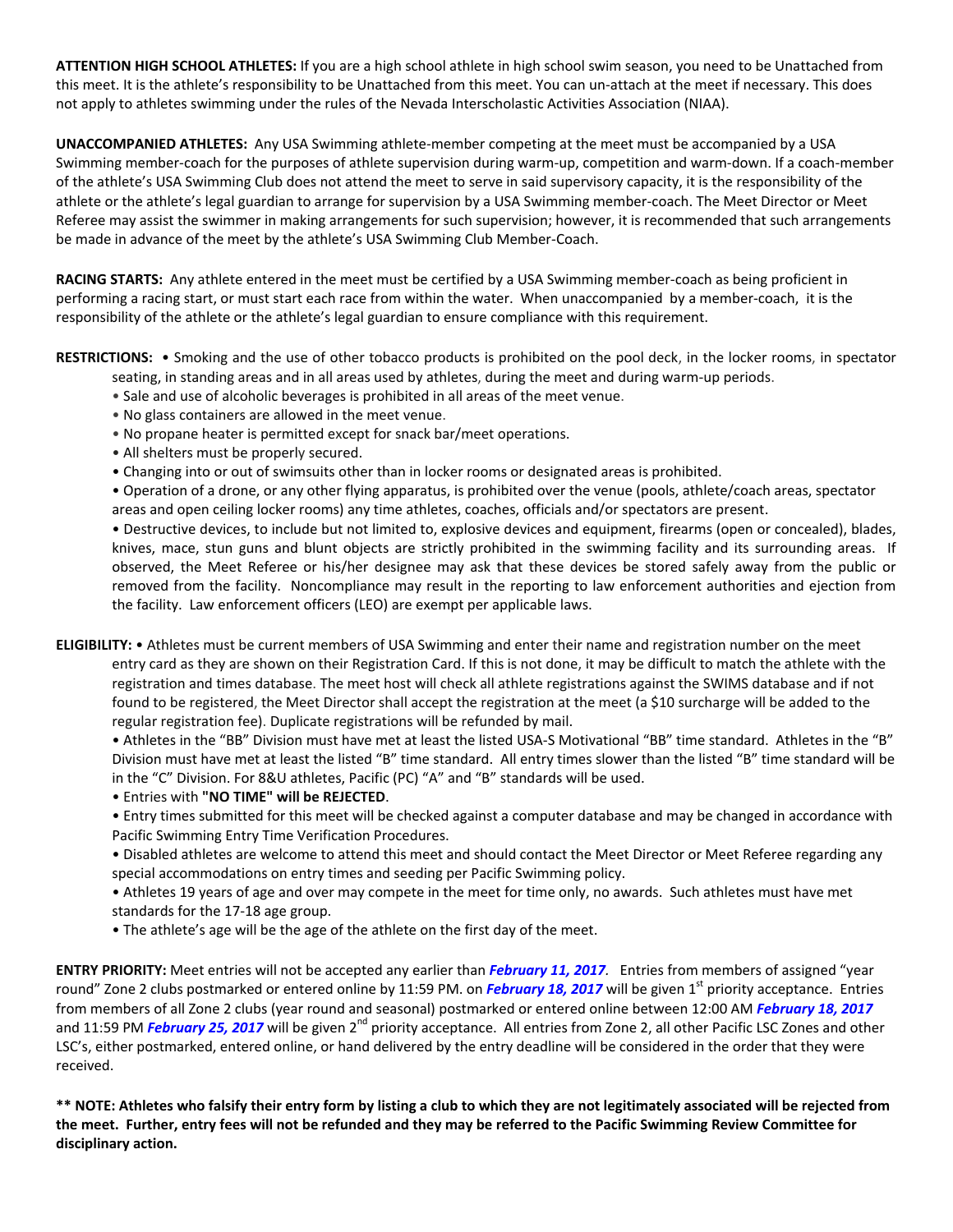**ATTENTION HIGH SCHOOL ATHLETES:** If you are a high school athlete in high school swim season, you need to be Unattached from this meet. It is the athlete's responsibility to be Unattached from this meet. You can un-attach at the meet if necessary. This does not apply to athletes swimming under the rules of the Nevada Interscholastic Activities Association (NIAA).

**UNACCOMPANIED ATHLETES:** Any USA Swimming athlete-member competing at the meet must be accompanied by a USA Swimming member-coach for the purposes of athlete supervision during warm-up, competition and warm-down. If a coach-member of the athlete's USA Swimming Club does not attend the meet to serve in said supervisory capacity, it is the responsibility of the athlete or the athlete's legal guardian to arrange for supervision by a USA Swimming member-coach. The Meet Director or Meet Referee may assist the swimmer in making arrangements for such supervision; however, it is recommended that such arrangements be made in advance of the meet by the athlete's USA Swimming Club Member-Coach.

**RACING STARTS:** Any athlete entered in the meet must be certified by a USA Swimming member-coach as being proficient in performing a racing start, or must start each race from within the water. When unaccompanied by a member-coach, it is the responsibility of the athlete or the athlete's legal guardian to ensure compliance with this requirement.

**RESTRICTIONS:** • Smoking and the use of other tobacco products is prohibited on the pool deck, in the locker rooms, in spectator seating, in standing areas and in all areas used by athletes, during the meet and during warm-up periods.

- Sale and use of alcoholic beverages is prohibited in all areas of the meet venue.
- No glass containers are allowed in the meet venue.
- No propane heater is permitted except for snack bar/meet operations.
- All shelters must be properly secured.
- Changing into or out of swimsuits other than in locker rooms or designated areas is prohibited.

• Operation of a drone, or any other flying apparatus, is prohibited over the venue (pools, athlete/coach areas, spectator areas and open ceiling locker rooms) any time athletes, coaches, officials and/or spectators are present.

• Destructive devices, to include but not limited to, explosive devices and equipment, firearms (open or concealed), blades, knives, mace, stun guns and blunt objects are strictly prohibited in the swimming facility and its surrounding areas. If observed, the Meet Referee or his/her designee may ask that these devices be stored safely away from the public or removed from the facility. Noncompliance may result in the reporting to law enforcement authorities and ejection from the facility. Law enforcement officers (LEO) are exempt per applicable laws.

**ELIGIBILITY:** • Athletes must be current members of USA Swimming and enter their name and registration number on the meet entry card as they are shown on their Registration Card. If this is not done, it may be difficult to match the athlete with the registration and times database. The meet host will check all athlete registrations against the SWIMS database and if not found to be registered, the Meet Director shall accept the registration at the meet (a \$10 surcharge will be added to the regular registration fee). Duplicate registrations will be refunded by mail.

• Athletes in the "BB" Division must have met at least the listed USA-S Motivational "BB" time standard. Athletes in the "B" Division must have met at least the listed "B" time standard. All entry times slower than the listed "B" time standard will be in the "C" Division. For 8&U athletes, Pacific (PC) "A" and "B" standards will be used.

• Entries with **"NO TIME" will be REJECTED**.

• Entry times submitted for this meet will be checked against a computer database and may be changed in accordance with Pacific Swimming Entry Time Verification Procedures.

• Disabled athletes are welcome to attend this meet and should contact the Meet Director or Meet Referee regarding any special accommodations on entry times and seeding per Pacific Swimming policy.

• Athletes 19 years of age and over may compete in the meet for time only, no awards. Such athletes must have met standards for the 17-18 age group.

• The athlete's age will be the age of the athlete on the first day of the meet.

**ENTRY PRIORITY:** Meet entries will not be accepted any earlier than *February 11, 2017.* Entries from members of assigned "year round" Zone 2 clubs postmarked or entered online by 11:59 PM. on *February 18, 2017* will be given 1<sup>st</sup> priority acceptance. Entries from members of all Zone 2 clubs (year round and seasonal) postmarked or entered online between 12:00 AM *February 18, 2017* and 11:59 PM *February 25, 2017* will be given 2<sup>nd</sup> priority acceptance. All entries from Zone 2, all other Pacific LSC Zones and other LSC's, either postmarked, entered online, or hand delivered by the entry deadline will be considered in the order that they were received.

**\*\* NOTE: Athletes who falsify their entry form by listing a club to which they are not legitimately associated will be rejected from the meet. Further, entry fees will not be refunded and they may be referred to the Pacific Swimming Review Committee for disciplinary action.**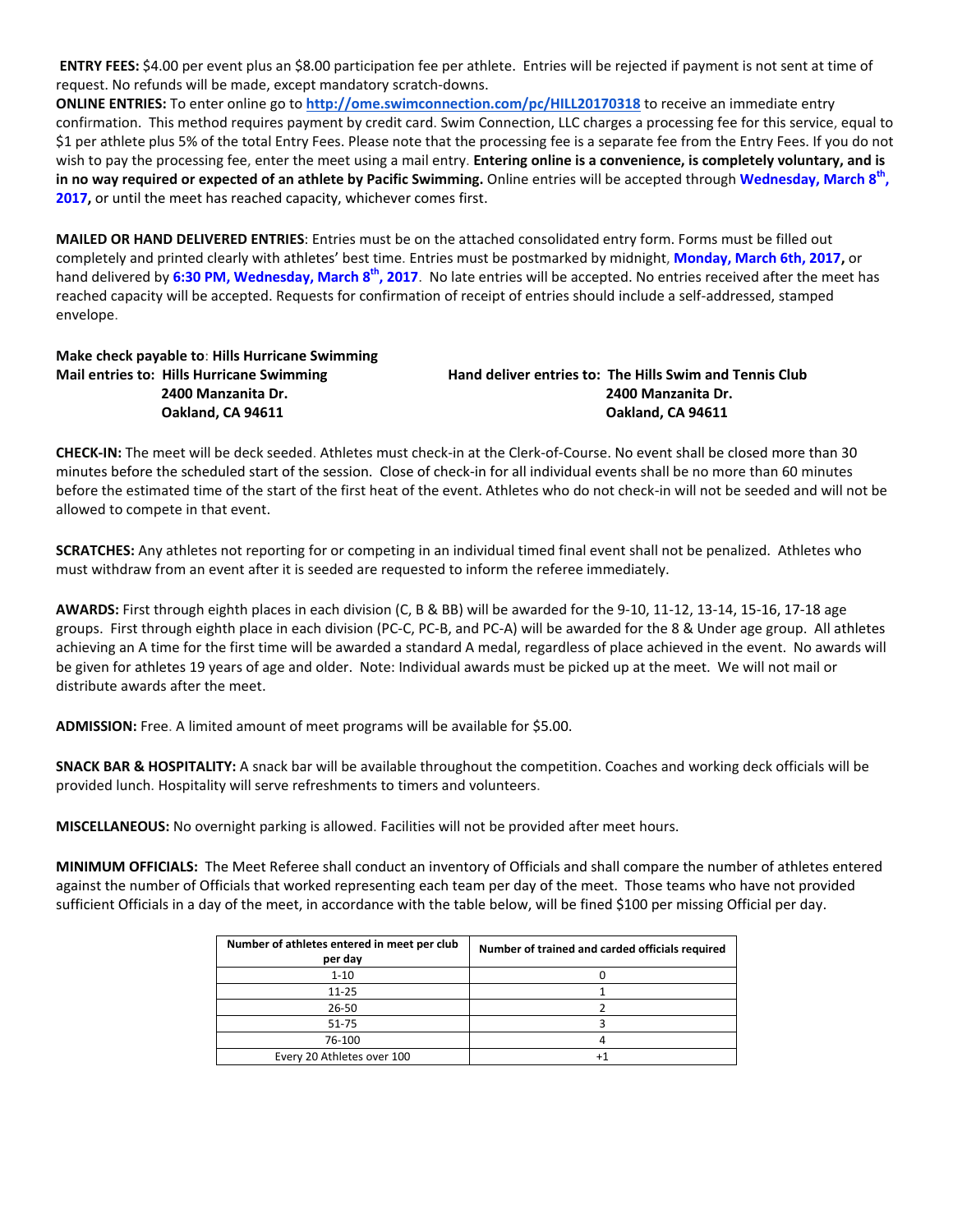**ENTRY FEES:** \$4.00 per event plus an \$8.00 participation fee per athlete. Entries will be rejected if payment is not sent at time of request. No refunds will be made, except mandatory scratch-downs.

**ONLINE ENTRIES:** To enter online go to **<http://ome.swimconnection.com/pc/HILL20170318>** to receive an immediate entry confirmation. This method requires payment by credit card. Swim Connection, LLC charges a processing fee for this service, equal to \$1 per athlete plus 5% of the total Entry Fees. Please note that the processing fee is a separate fee from the Entry Fees. If you do not wish to pay the processing fee, enter the meet using a mail entry. **Entering online is a convenience, is completely voluntary, and is in no way required or expected of an athlete by Pacific Swimming.** Online entries will be accepted through **Wednesday, March 8th , 2017,** or until the meet has reached capacity, whichever comes first.

**MAILED OR HAND DELIVERED ENTRIES**: Entries must be on the attached consolidated entry form. Forms must be filled out completely and printed clearly with athletes' best time. Entries must be postmarked by midnight, **Monday, March 6th, 2017,** or hand delivered by **6:30 PM, Wednesday, March 8th, 2017**. No late entries will be accepted. No entries received after the meet has reached capacity will be accepted. Requests for confirmation of receipt of entries should include a self-addressed, stamped envelope.

# **Make check payable to**: **Hills Hurricane Swimming**

**Mail entries to: Hills Hurricane Swimming Hand deliver entries to: The Hills Swim and Tennis Club 2400 Manzanita Dr. 2400 Manzanita Dr. Oakland, CA 94611 Oakland, CA 94611**

**CHECK-IN:** The meet will be deck seeded. Athletes must check-in at the Clerk-of-Course. No event shall be closed more than 30 minutes before the scheduled start of the session. Close of check-in for all individual events shall be no more than 60 minutes before the estimated time of the start of the first heat of the event. Athletes who do not check-in will not be seeded and will not be allowed to compete in that event.

**SCRATCHES:** Any athletes not reporting for or competing in an individual timed final event shall not be penalized. Athletes who must withdraw from an event after it is seeded are requested to inform the referee immediately.

**AWARDS:** First through eighth places in each division (C, B & BB) will be awarded for the 9-10, 11-12, 13-14, 15-16, 17-18 age groups. First through eighth place in each division (PC-C, PC-B, and PC-A) will be awarded for the 8 & Under age group. All athletes achieving an A time for the first time will be awarded a standard A medal, regardless of place achieved in the event. No awards will be given for athletes 19 years of age and older. Note: Individual awards must be picked up at the meet. We will not mail or distribute awards after the meet.

**ADMISSION:** Free. A limited amount of meet programs will be available for \$5.00.

**SNACK BAR & HOSPITALITY:** A snack bar will be available throughout the competition. Coaches and working deck officials will be provided lunch. Hospitality will serve refreshments to timers and volunteers.

**MISCELLANEOUS:** No overnight parking is allowed. Facilities will not be provided after meet hours.

**MINIMUM OFFICIALS:** The Meet Referee shall conduct an inventory of Officials and shall compare the number of athletes entered against the number of Officials that worked representing each team per day of the meet. Those teams who have not provided sufficient Officials in a day of the meet, in accordance with the table below, will be fined \$100 per missing Official per day.

| Number of athletes entered in meet per club<br>per day | Number of trained and carded officials required |
|--------------------------------------------------------|-------------------------------------------------|
| $1 - 10$                                               |                                                 |
| $11 - 25$                                              |                                                 |
| $26 - 50$                                              |                                                 |
| 51-75                                                  |                                                 |
| 76-100                                                 |                                                 |
| Every 20 Athletes over 100                             |                                                 |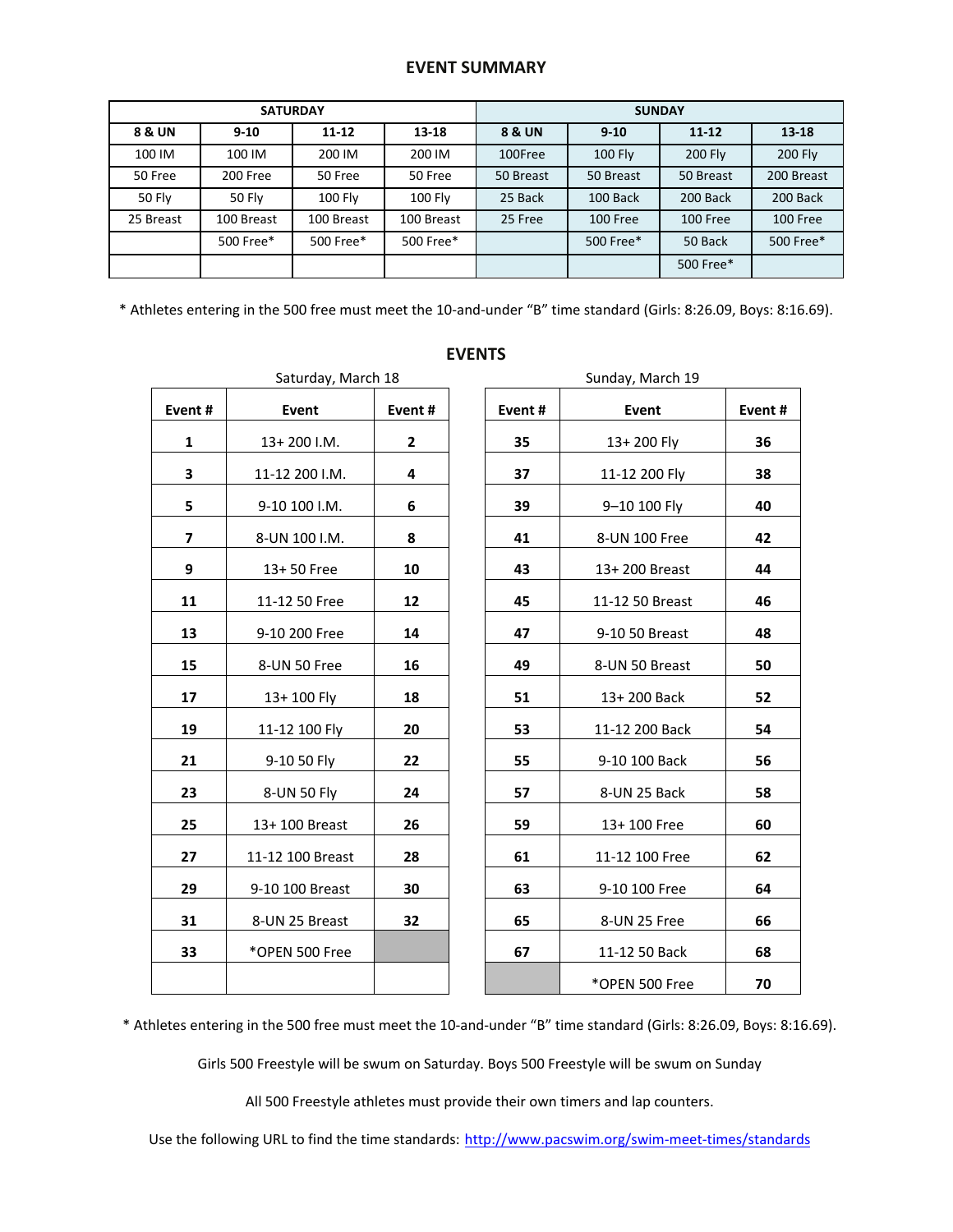## **EVENT SUMMARY**

|                   |               | <b>SATURDAY</b> |                | <b>SUNDAY</b> |                |                |                |  |  |
|-------------------|---------------|-----------------|----------------|---------------|----------------|----------------|----------------|--|--|
| <b>8 &amp; UN</b> | $9 - 10$      | $11 - 12$       | $13 - 18$      | 8 & UN        | $9 - 10$       | $11 - 12$      | $13 - 18$      |  |  |
| 100 IM            | 100 IM        | 200 IM          | 200 IM         | 100Free       | <b>100 Fly</b> | <b>200 Fly</b> | <b>200 Fly</b> |  |  |
| 50 Free           | 200 Free      | 50 Free         | 50 Free        | 50 Breast     | 50 Breast      | 50 Breast      | 200 Breast     |  |  |
| <b>50 Fly</b>     | <b>50 Flv</b> | 100 Fly         | <b>100 Fly</b> | 25 Back       | 100 Back       | 200 Back       | 200 Back       |  |  |
| 25 Breast         | 100 Breast    | 100 Breast      | 100 Breast     | 25 Free       | 100 Free       | 100 Free       | 100 Free       |  |  |
|                   | 500 Free*     | 500 Free*       | 500 Free*      |               | 500 Free*      | 50 Back        | 500 Free*      |  |  |
|                   |               |                 |                |               | 500 Free*      |                |                |  |  |

\* Athletes entering in the 500 free must meet the 10-and-under "B" time standard (Girls: 8:26.09, Boys: 8:16.69).

**EVENTS**

| Event# | Event            | Event# |  |  |
|--------|------------------|--------|--|--|
| 1      | 13+200 I.M.      | 2      |  |  |
| 3      | 11-12 200 I.M.   | 4      |  |  |
| 5      | 9-10 100 I.M.    | 6      |  |  |
| 7      | 8-UN 100 I.M.    | 8      |  |  |
| 9      | 13+50 Free       | 10     |  |  |
| 11     | 11-12 50 Free    | 12     |  |  |
| 13     | 9-10 200 Free    | 14     |  |  |
| 15     | 8-UN 50 Free     | 16     |  |  |
| 17     | $13+100$ Fly     | 18     |  |  |
| 19     | 11-12 100 Fly    | 20     |  |  |
| 21     | 9-10 50 Fly      | 22     |  |  |
| 23     | 8-UN 50 Fly      | 24     |  |  |
| 25     | 13+ 100 Breast   | 26     |  |  |
| 27     | 11-12 100 Breast | 28     |  |  |
| 29     | 9-10 100 Breast  | 30     |  |  |
| 31     | 8-UN 25 Breast   | 32     |  |  |
| 33     | *OPEN 500 Free   |        |  |  |
|        |                  |        |  |  |

| Event#         | Event            | Event#       | Event# | Event                                | Event# |
|----------------|------------------|--------------|--------|--------------------------------------|--------|
| 1              | $13+200$ I.M.    | $\mathbf{2}$ | 35     | 13+200 Fly                           | 36     |
| 3              | 11-12 200 I.M.   | 4            | 37     | 11-12 200 Fly                        | 38     |
| 5              | 9-10 100 I.M.    | 6            | 39     | 9-10 100 Fly                         | 40     |
| $\overline{7}$ | 8-UN 100 I.M.    | 8            | 41     | 8-UN 100 Free                        | 42     |
| 9              | 13+50 Free       | 10           | 43     | 13+200 Breast                        | 44     |
| 11             | 11-12 50 Free    | 12           | 45     | 11-12 50 Breast                      | 46     |
| 13             | 9-10 200 Free    | 14           | 47     | 9-10 50 Breast                       | 48     |
| 15             | 8-UN 50 Free     | 16           | 49     | 8-UN 50 Breast                       | 50     |
| 17             | 13+100 Fly       | 18           | 51     | 13+200 Back                          | 52     |
| 19             | 11-12 100 Fly    | 20           | 53     | 11-12 200 Back                       | 54     |
| 21             | 9-10 50 Fly      | 22           | 55     | 9-10 100 Back                        | 56     |
| 23             | 8-UN 50 Fly      | 24           | 57     | 8-UN 25 Back                         | 58     |
| 25             | 13+100 Breast    | 26           | 59     | 13+100 Free                          | 60     |
| 27             | 11-12 100 Breast | 28           | 61     | 11-12 100 Free                       | 62     |
|                |                  |              |        |                                      |        |
| 29             | 9-10 100 Breast  | 30           | 63     | 9-10 100 Free                        | 64     |
| 31             | 8-UN 25 Breast   | 32           | 65     | 8-UN 25 Free                         | 66     |
| 33             | *OPEN 500 Free   |              | 67     | 11-12 50 Back                        | 68     |
|                |                  |              |        | $*$ $\cap$ DENI E $\cap$ $\cap$ Eroo | 70     |

# Saturday, March 18 Sunday, March 19  $\mathsf{l}$ **1**3+ 200 Fly **26 3** 11-12 200 I.M. **4 37** 11-12 200 Fly **38 5** 9-10 100 I.M. **6 39** 9–10 100 Fly **40 7** 8-UN 100 I.M. **8 41** 8-UN 100 Free **42 9** 13+ 50 Free **10 43** 13+ 200 Breast **44 11** 11-12 50 Free **12 45** 11-12 50 Breast **46 13** 9-10 200 Free **14 47** 9-10 50 Breast **48 15** 8-UN 50 Free **16 49** 8-UN 50 Breast **50 17** 13+ 100 Fly **18 51** 13+ 200 Back **52 19** 11-12 100 Fly **20 53** 11-12 200 Back **54 21** 9-10 50 Fly **22 55** 9-10 100 Back **56 23** 8-UN 50 Fly **24 57** 8-UN 25 Back **58 25** 13+ 100 Breast **26 59** 13+ 100 Free **60 27** 11-12 100 Breast **28 61** 11-12 100 Free **62 29** 9-10 100 Breast **30 63** 9-10 100 Free **64 31** 8-UN 25 Breast **32 65** 8-UN 25 Free **66**

\*OPEN 500 Free **70**

\* Athletes entering in the 500 free must meet the 10-and-under "B" time standard (Girls: 8:26.09, Boys: 8:16.69).

Girls 500 Freestyle will be swum on Saturday. Boys 500 Freestyle will be swum on Sunday

All 500 Freestyle athletes must provide their own timers and lap counters.

Use the following URL to find the time standards: <http://www.pacswim.org/swim-meet-times/standards>